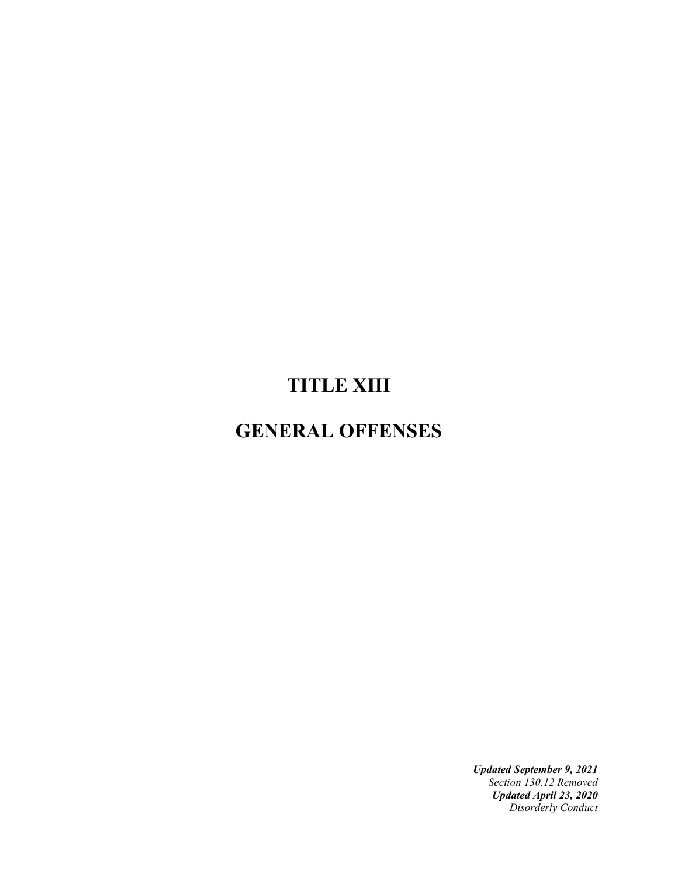# **TITLE XIII**

# **GENERAL OFFENSES**

*Updated September 9, 2021 Section 130.12 Removed Updated April 23, 2020 Disorderly Conduct*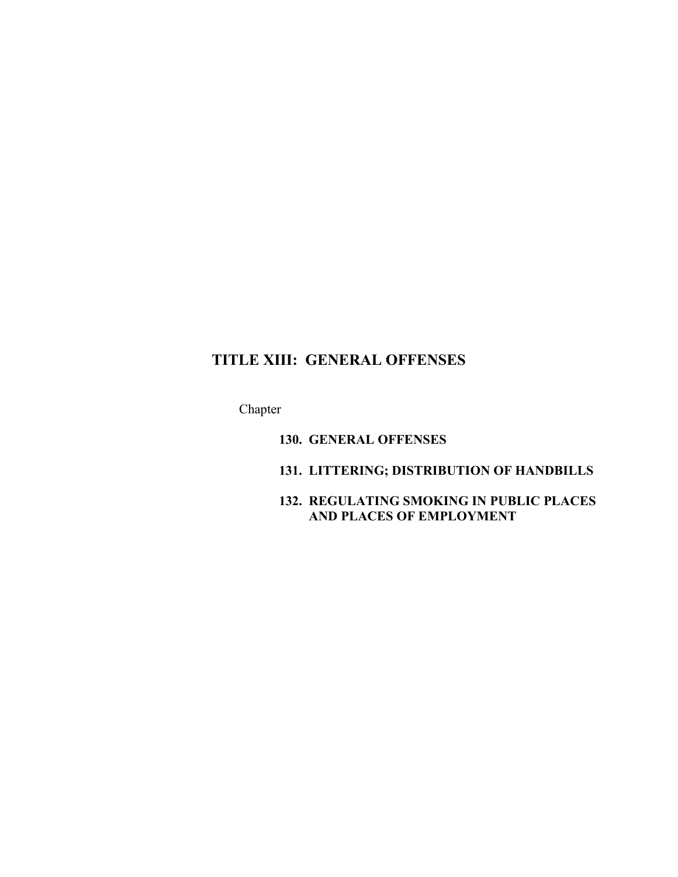# **TITLE XIII: GENERAL OFFENSES**

Chapter

**130. GENERAL OFFENSES**

## **131. LITTERING; DISTRIBUTION OF HANDBILLS**

## **132. REGULATING SMOKING IN PUBLIC PLACES AND PLACES OF EMPLOYMENT**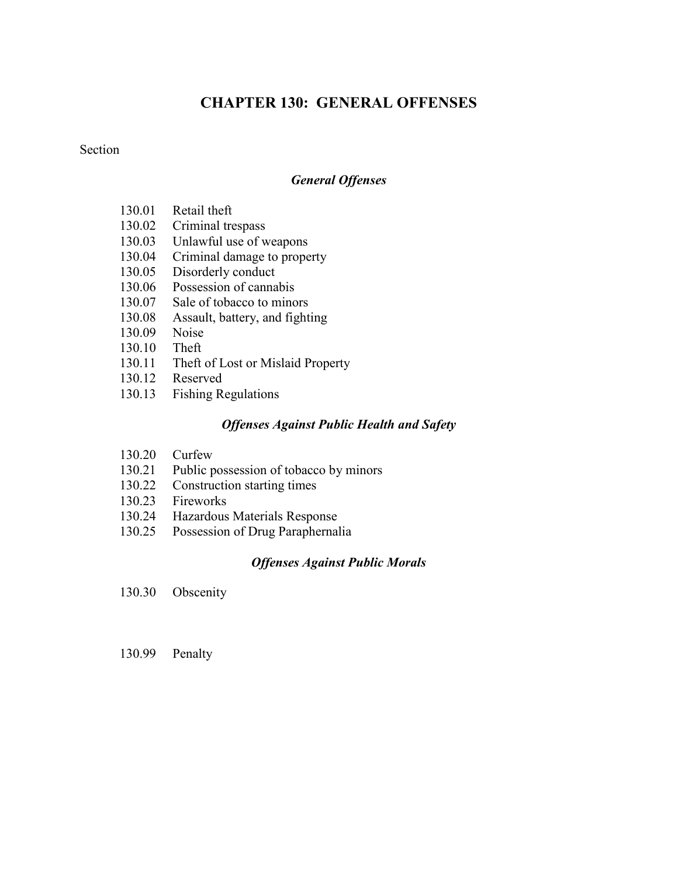# **CHAPTER 130: GENERAL OFFENSES**

#### **Section**

#### *General Offenses*

- 130.01 Retail theft
- 130.02 Criminal trespass
- 130.03 Unlawful use of weapons
- 130.04 Criminal damage to property
- 130.05 Disorderly conduct
- 130.06 Possession of cannabis
- 130.07 Sale of tobacco to minors
- 130.08 Assault, battery, and fighting
- 130.09 Noise
- 130.10 Theft
- 130.11 Theft of Lost or Mislaid Property
- 130.12 Reserved
- 130.13 Fishing Regulations

#### *Offenses Against Public Health and Safety*

- 130.20 Curfew
- 130.21 Public possession of tobacco by minors
- 130.22 Construction starting times
- 130.23 Fireworks
- 130.24 Hazardous Materials Response
- 130.25 Possession of Drug Paraphernalia

#### *Offenses Against Public Morals*

- 130.30 Obscenity
- 130.99 Penalty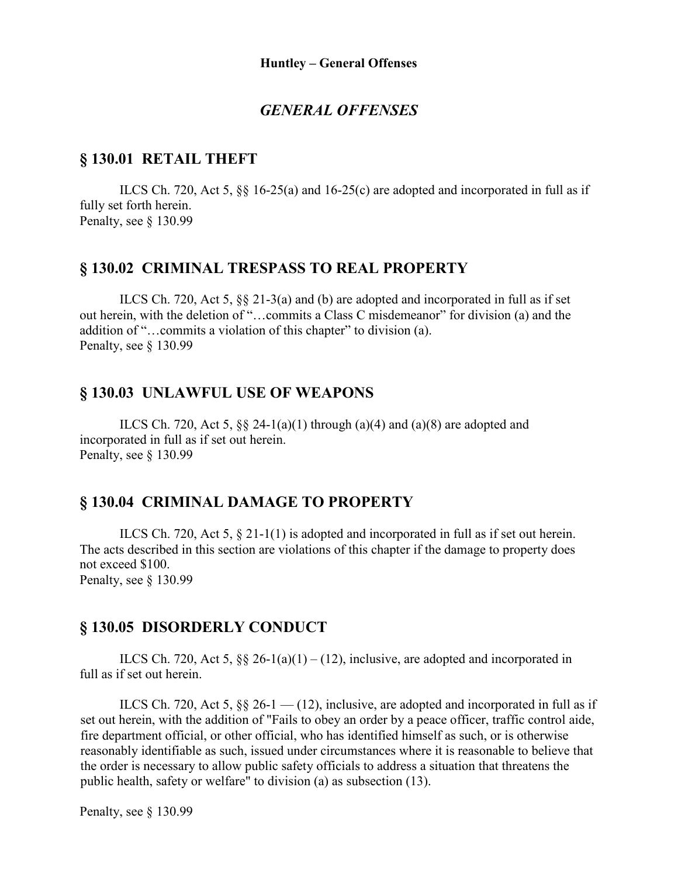### *GENERAL OFFENSES*

#### **§ 130.01 RETAIL THEFT**

ILCS Ch. 720, Act 5, §§ 16-25(a) and 16-25(c) are adopted and incorporated in full as if fully set forth herein. Penalty, see § 130.99

#### **§ 130.02 CRIMINAL TRESPASS TO REAL PROPERTY**

ILCS Ch. 720, Act 5, §§ 21-3(a) and (b) are adopted and incorporated in full as if set out herein, with the deletion of "…commits a Class C misdemeanor" for division (a) and the addition of "…commits a violation of this chapter" to division (a). Penalty, see § 130.99

#### **§ 130.03 UNLAWFUL USE OF WEAPONS**

ILCS Ch. 720, Act 5,  $\S$  24-1(a)(1) through (a)(4) and (a)(8) are adopted and incorporated in full as if set out herein. Penalty, see § 130.99

### **§ 130.04 CRIMINAL DAMAGE TO PROPERTY**

ILCS Ch. 720, Act 5, § 21-1(1) is adopted and incorporated in full as if set out herein. The acts described in this section are violations of this chapter if the damage to property does not exceed \$100. Penalty, see § 130.99

#### **§ 130.05 DISORDERLY CONDUCT**

ILCS Ch. 720, Act 5,  $\S\S 26-1(a)(1)-(12)$ , inclusive, are adopted and incorporated in full as if set out herein.

ILCS Ch. 720, Act 5,  $\S\S 26-1$  — (12), inclusive, are adopted and incorporated in full as if set out herein, with the addition of "Fails to obey an order by a peace officer, traffic control aide, fire department official, or other official, who has identified himself as such, or is otherwise reasonably identifiable as such, issued under circumstances where it is reasonable to believe that the order is necessary to allow public safety officials to address a situation that threatens the public health, safety or welfare" to division (a) as subsection (13).

Penalty, see § 130.99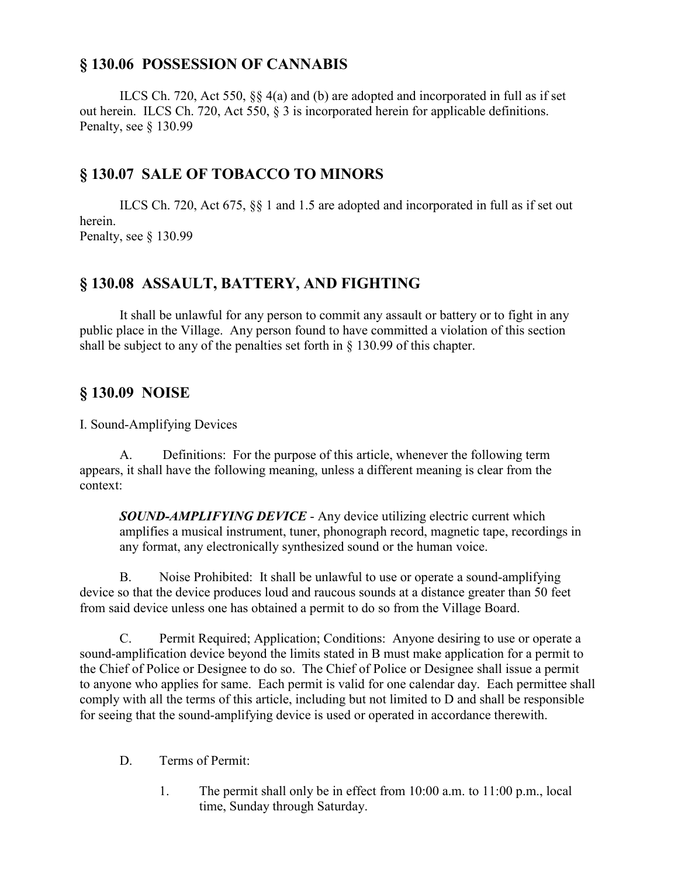## **§ 130.06 POSSESSION OF CANNABIS**

ILCS Ch. 720, Act 550, §§ 4(a) and (b) are adopted and incorporated in full as if set out herein. ILCS Ch. 720, Act 550, § 3 is incorporated herein for applicable definitions. Penalty, see § 130.99

# **§ 130.07 SALE OF TOBACCO TO MINORS**

ILCS Ch. 720, Act 675, §§ 1 and 1.5 are adopted and incorporated in full as if set out herein. Penalty, see § 130.99

# **§ 130.08 ASSAULT, BATTERY, AND FIGHTING**

It shall be unlawful for any person to commit any assault or battery or to fight in any public place in the Village. Any person found to have committed a violation of this section shall be subject to any of the penalties set forth in § 130.99 of this chapter.

## **§ 130.09 NOISE**

I. Sound-Amplifying Devices

A. Definitions: For the purpose of this article, whenever the following term appears, it shall have the following meaning, unless a different meaning is clear from the context:

*SOUND-AMPLIFYING DEVICE* - Any device utilizing electric current which amplifies a musical instrument, tuner, phonograph record, magnetic tape, recordings in any format, any electronically synthesized sound or the human voice.

B. Noise Prohibited: It shall be unlawful to use or operate a sound-amplifying device so that the device produces loud and raucous sounds at a distance greater than 50 feet from said device unless one has obtained a permit to do so from the Village Board.

C. Permit Required; Application; Conditions: Anyone desiring to use or operate a sound-amplification device beyond the limits stated in B must make application for a permit to the Chief of Police or Designee to do so. The Chief of Police or Designee shall issue a permit to anyone who applies for same. Each permit is valid for one calendar day. Each permittee shall comply with all the terms of this article, including but not limited to D and shall be responsible for seeing that the sound-amplifying device is used or operated in accordance therewith.

- D. Terms of Permit:
	- 1. The permit shall only be in effect from 10:00 a.m. to 11:00 p.m., local time, Sunday through Saturday.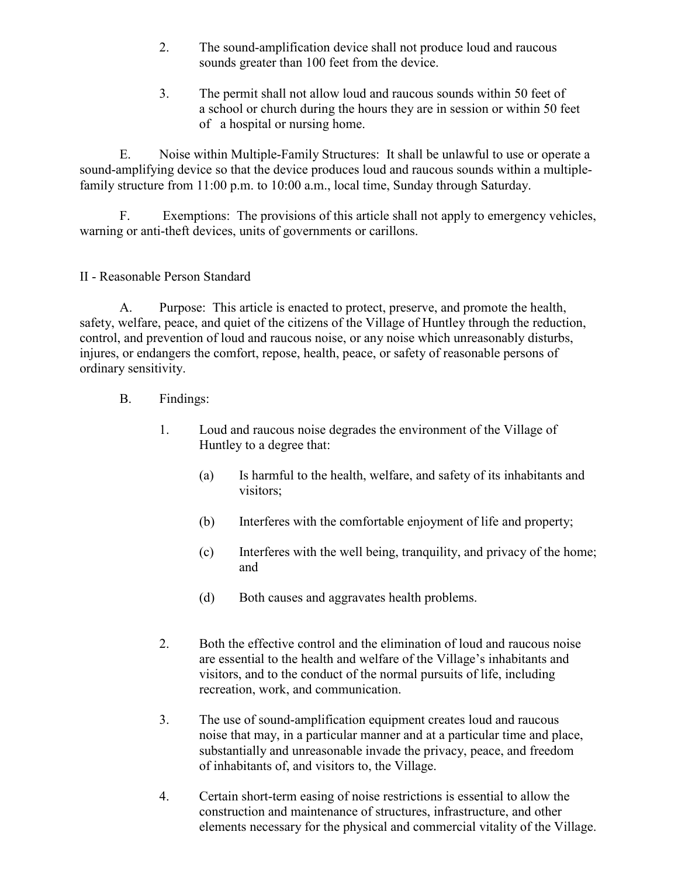- 2. The sound-amplification device shall not produce loud and raucous sounds greater than 100 feet from the device.
- 3. The permit shall not allow loud and raucous sounds within 50 feet of a school or church during the hours they are in session or within 50 feet of a hospital or nursing home.

E. Noise within Multiple-Family Structures: It shall be unlawful to use or operate a sound-amplifying device so that the device produces loud and raucous sounds within a multiplefamily structure from 11:00 p.m. to 10:00 a.m., local time, Sunday through Saturday.

F. Exemptions: The provisions of this article shall not apply to emergency vehicles, warning or anti-theft devices, units of governments or carillons.

### II - Reasonable Person Standard

A. Purpose: This article is enacted to protect, preserve, and promote the health, safety, welfare, peace, and quiet of the citizens of the Village of Huntley through the reduction, control, and prevention of loud and raucous noise, or any noise which unreasonably disturbs, injures, or endangers the comfort, repose, health, peace, or safety of reasonable persons of ordinary sensitivity.

- B. Findings:
	- 1. Loud and raucous noise degrades the environment of the Village of Huntley to a degree that:
		- (a) Is harmful to the health, welfare, and safety of its inhabitants and visitors;
		- (b) Interferes with the comfortable enjoyment of life and property;
		- (c) Interferes with the well being, tranquility, and privacy of the home; and
		- (d) Both causes and aggravates health problems.
	- 2. Both the effective control and the elimination of loud and raucous noise are essential to the health and welfare of the Village's inhabitants and visitors, and to the conduct of the normal pursuits of life, including recreation, work, and communication.
	- 3. The use of sound-amplification equipment creates loud and raucous noise that may, in a particular manner and at a particular time and place, substantially and unreasonable invade the privacy, peace, and freedom of inhabitants of, and visitors to, the Village.
	- 4. Certain short-term easing of noise restrictions is essential to allow the construction and maintenance of structures, infrastructure, and other elements necessary for the physical and commercial vitality of the Village.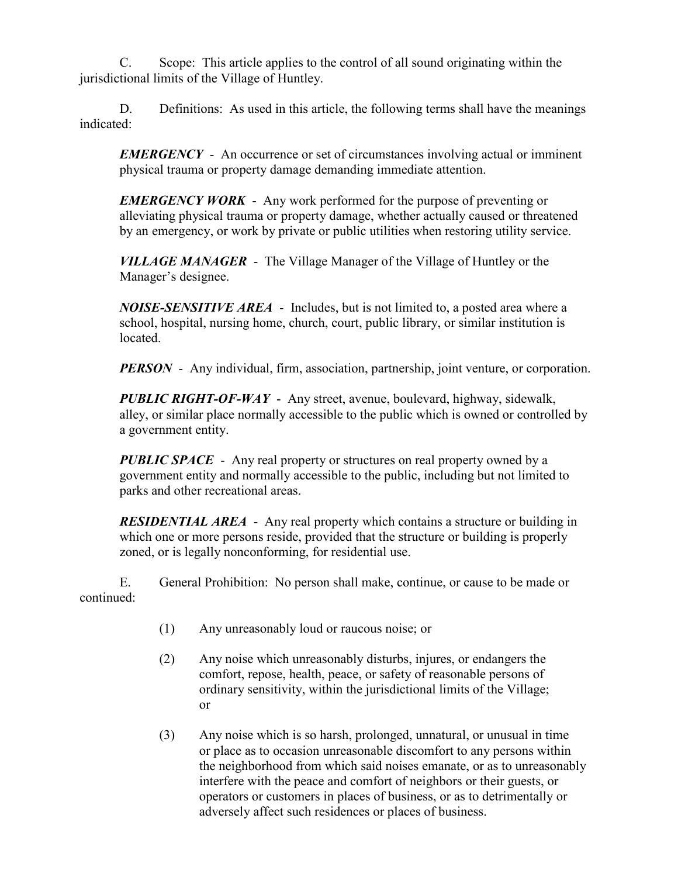C. Scope: This article applies to the control of all sound originating within the jurisdictional limits of the Village of Huntley.

D. Definitions: As used in this article, the following terms shall have the meanings indicated:

*EMERGENCY* - An occurrence or set of circumstances involving actual or imminent physical trauma or property damage demanding immediate attention.

*EMERGENCY WORK* - Any work performed for the purpose of preventing or alleviating physical trauma or property damage, whether actually caused or threatened by an emergency, or work by private or public utilities when restoring utility service.

*VILLAGE MANAGER* - The Village Manager of the Village of Huntley or the Manager's designee.

*NOISE-SENSITIVE AREA* - Includes, but is not limited to, a posted area where a school, hospital, nursing home, church, court, public library, or similar institution is located.

*PERSON* - Any individual, firm, association, partnership, joint venture, or corporation.

*PUBLIC RIGHT-OF-WAY* - Any street, avenue, boulevard, highway, sidewalk, alley, or similar place normally accessible to the public which is owned or controlled by a government entity.

*PUBLIC SPACE* - Any real property or structures on real property owned by a government entity and normally accessible to the public, including but not limited to parks and other recreational areas.

*RESIDENTIAL AREA* - Any real property which contains a structure or building in which one or more persons reside, provided that the structure or building is properly zoned, or is legally nonconforming, for residential use.

E. General Prohibition: No person shall make, continue, or cause to be made or continued:

- (1) Any unreasonably loud or raucous noise; or
- (2) Any noise which unreasonably disturbs, injures, or endangers the comfort, repose, health, peace, or safety of reasonable persons of ordinary sensitivity, within the jurisdictional limits of the Village; or
- (3) Any noise which is so harsh, prolonged, unnatural, or unusual in time or place as to occasion unreasonable discomfort to any persons within the neighborhood from which said noises emanate, or as to unreasonably interfere with the peace and comfort of neighbors or their guests, or operators or customers in places of business, or as to detrimentally or adversely affect such residences or places of business.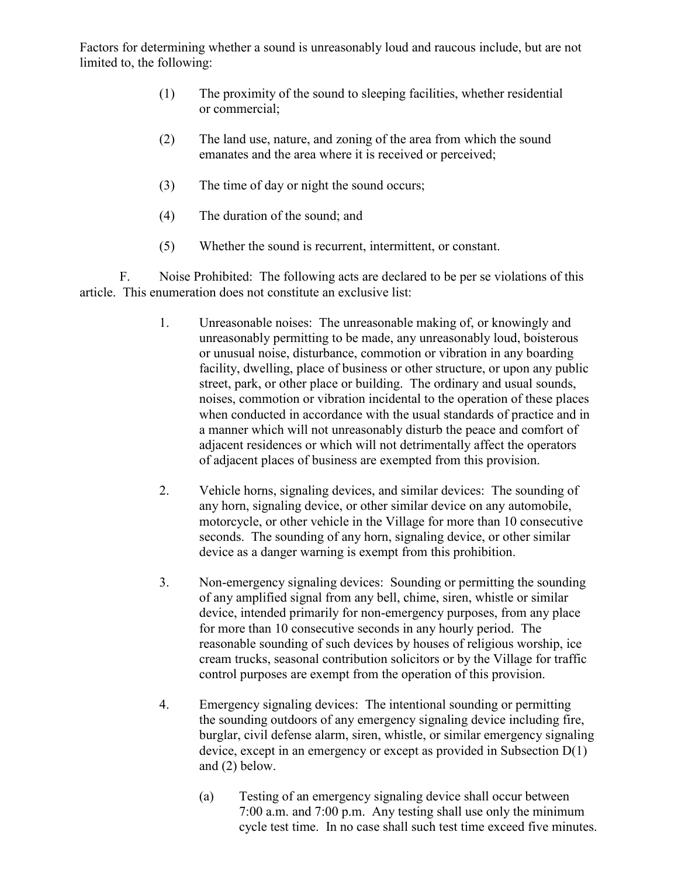Factors for determining whether a sound is unreasonably loud and raucous include, but are not limited to, the following:

- (1) The proximity of the sound to sleeping facilities, whether residential or commercial;
- (2) The land use, nature, and zoning of the area from which the sound emanates and the area where it is received or perceived;
- (3) The time of day or night the sound occurs;
- (4) The duration of the sound; and
- (5) Whether the sound is recurrent, intermittent, or constant.

F. Noise Prohibited: The following acts are declared to be per se violations of this article. This enumeration does not constitute an exclusive list:

- 1. Unreasonable noises: The unreasonable making of, or knowingly and unreasonably permitting to be made, any unreasonably loud, boisterous or unusual noise, disturbance, commotion or vibration in any boarding facility, dwelling, place of business or other structure, or upon any public street, park, or other place or building. The ordinary and usual sounds, noises, commotion or vibration incidental to the operation of these places when conducted in accordance with the usual standards of practice and in a manner which will not unreasonably disturb the peace and comfort of adjacent residences or which will not detrimentally affect the operators of adjacent places of business are exempted from this provision.
- 2. Vehicle horns, signaling devices, and similar devices: The sounding of any horn, signaling device, or other similar device on any automobile, motorcycle, or other vehicle in the Village for more than 10 consecutive seconds. The sounding of any horn, signaling device, or other similar device as a danger warning is exempt from this prohibition.
- 3. Non-emergency signaling devices: Sounding or permitting the sounding of any amplified signal from any bell, chime, siren, whistle or similar device, intended primarily for non-emergency purposes, from any place for more than 10 consecutive seconds in any hourly period. The reasonable sounding of such devices by houses of religious worship, ice cream trucks, seasonal contribution solicitors or by the Village for traffic control purposes are exempt from the operation of this provision.
- 4. Emergency signaling devices: The intentional sounding or permitting the sounding outdoors of any emergency signaling device including fire, burglar, civil defense alarm, siren, whistle, or similar emergency signaling device, except in an emergency or except as provided in Subsection D(1) and (2) below.
	- (a) Testing of an emergency signaling device shall occur between 7:00 a.m. and 7:00 p.m. Any testing shall use only the minimum cycle test time. In no case shall such test time exceed five minutes.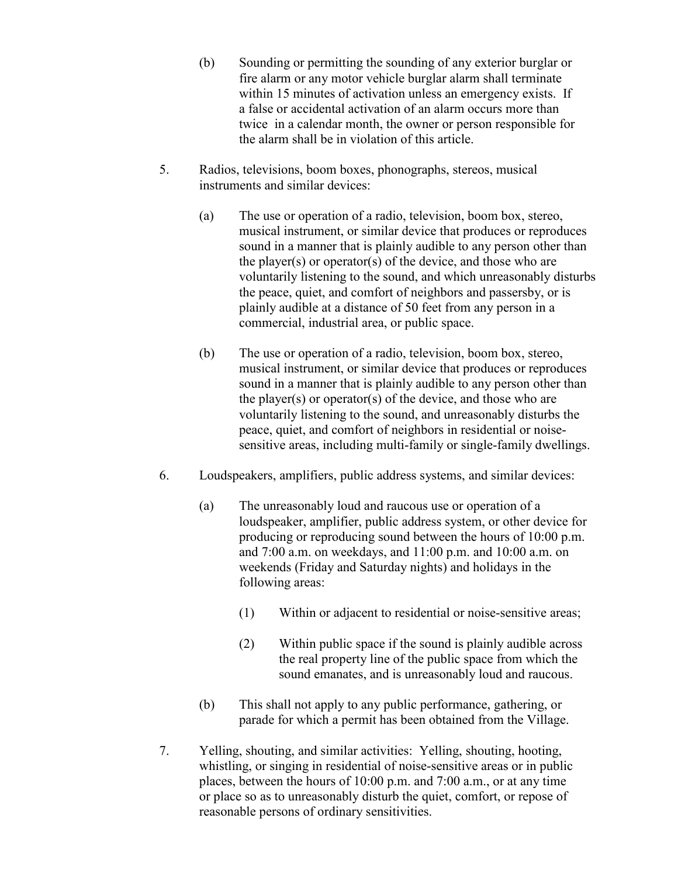- (b) Sounding or permitting the sounding of any exterior burglar or fire alarm or any motor vehicle burglar alarm shall terminate within 15 minutes of activation unless an emergency exists. If a false or accidental activation of an alarm occurs more than twice in a calendar month, the owner or person responsible for the alarm shall be in violation of this article.
- 5. Radios, televisions, boom boxes, phonographs, stereos, musical instruments and similar devices:
	- (a) The use or operation of a radio, television, boom box, stereo, musical instrument, or similar device that produces or reproduces sound in a manner that is plainly audible to any person other than the player(s) or operator(s) of the device, and those who are voluntarily listening to the sound, and which unreasonably disturbs the peace, quiet, and comfort of neighbors and passersby, or is plainly audible at a distance of 50 feet from any person in a commercial, industrial area, or public space.
	- (b) The use or operation of a radio, television, boom box, stereo, musical instrument, or similar device that produces or reproduces sound in a manner that is plainly audible to any person other than the player(s) or operator(s) of the device, and those who are voluntarily listening to the sound, and unreasonably disturbs the peace, quiet, and comfort of neighbors in residential or noisesensitive areas, including multi-family or single-family dwellings.
- 6. Loudspeakers, amplifiers, public address systems, and similar devices:
	- (a) The unreasonably loud and raucous use or operation of a loudspeaker, amplifier, public address system, or other device for producing or reproducing sound between the hours of 10:00 p.m. and 7:00 a.m. on weekdays, and 11:00 p.m. and 10:00 a.m. on weekends (Friday and Saturday nights) and holidays in the following areas:
		- (1) Within or adjacent to residential or noise-sensitive areas;
		- (2) Within public space if the sound is plainly audible across the real property line of the public space from which the sound emanates, and is unreasonably loud and raucous.
	- (b) This shall not apply to any public performance, gathering, or parade for which a permit has been obtained from the Village.
- 7. Yelling, shouting, and similar activities: Yelling, shouting, hooting, whistling, or singing in residential of noise-sensitive areas or in public places, between the hours of 10:00 p.m. and 7:00 a.m., or at any time or place so as to unreasonably disturb the quiet, comfort, or repose of reasonable persons of ordinary sensitivities.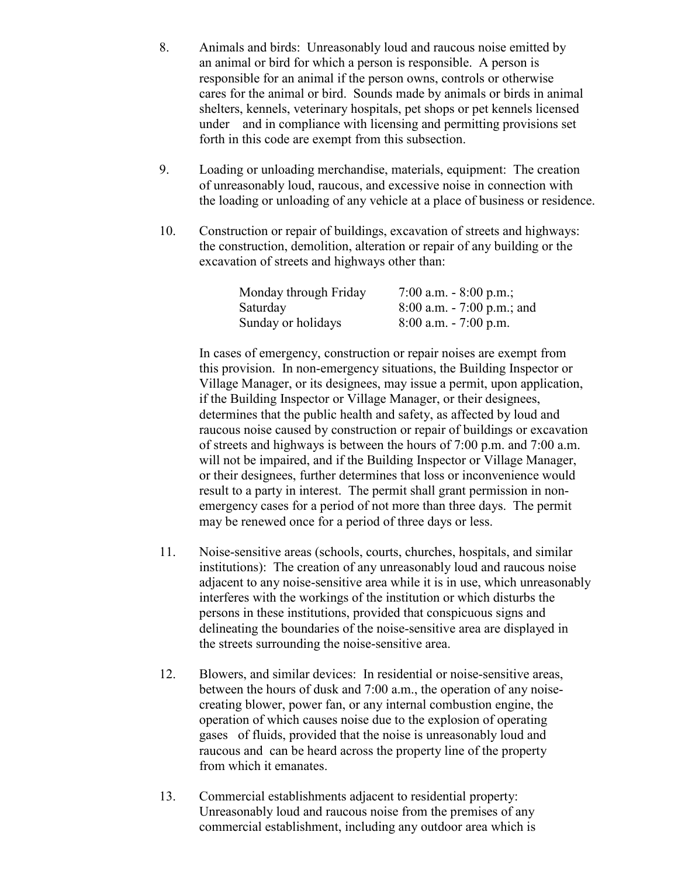- 8. Animals and birds: Unreasonably loud and raucous noise emitted by an animal or bird for which a person is responsible. A person is responsible for an animal if the person owns, controls or otherwise cares for the animal or bird. Sounds made by animals or birds in animal shelters, kennels, veterinary hospitals, pet shops or pet kennels licensed under and in compliance with licensing and permitting provisions set forth in this code are exempt from this subsection.
- 9. Loading or unloading merchandise, materials, equipment: The creation of unreasonably loud, raucous, and excessive noise in connection with the loading or unloading of any vehicle at a place of business or residence.
- 10. Construction or repair of buildings, excavation of streets and highways: the construction, demolition, alteration or repair of any building or the excavation of streets and highways other than:

| Monday through Friday | 7:00 a.m. $-8:00$ p.m.;       |
|-----------------------|-------------------------------|
| Saturday              | $8:00$ a.m. $-7:00$ p.m.; and |
| Sunday or holidays    | $8:00$ a.m. $-7:00$ p.m.      |

In cases of emergency, construction or repair noises are exempt from this provision. In non-emergency situations, the Building Inspector or Village Manager, or its designees, may issue a permit, upon application, if the Building Inspector or Village Manager, or their designees, determines that the public health and safety, as affected by loud and raucous noise caused by construction or repair of buildings or excavation of streets and highways is between the hours of 7:00 p.m. and 7:00 a.m. will not be impaired, and if the Building Inspector or Village Manager, or their designees, further determines that loss or inconvenience would result to a party in interest. The permit shall grant permission in nonemergency cases for a period of not more than three days. The permit may be renewed once for a period of three days or less.

- 11. Noise-sensitive areas (schools, courts, churches, hospitals, and similar institutions): The creation of any unreasonably loud and raucous noise adjacent to any noise-sensitive area while it is in use, which unreasonably interferes with the workings of the institution or which disturbs the persons in these institutions, provided that conspicuous signs and delineating the boundaries of the noise-sensitive area are displayed in the streets surrounding the noise-sensitive area.
- 12. Blowers, and similar devices: In residential or noise-sensitive areas, between the hours of dusk and 7:00 a.m., the operation of any noisecreating blower, power fan, or any internal combustion engine, the operation of which causes noise due to the explosion of operating gases of fluids, provided that the noise is unreasonably loud and raucous and can be heard across the property line of the property from which it emanates.
- 13. Commercial establishments adjacent to residential property: Unreasonably loud and raucous noise from the premises of any commercial establishment, including any outdoor area which is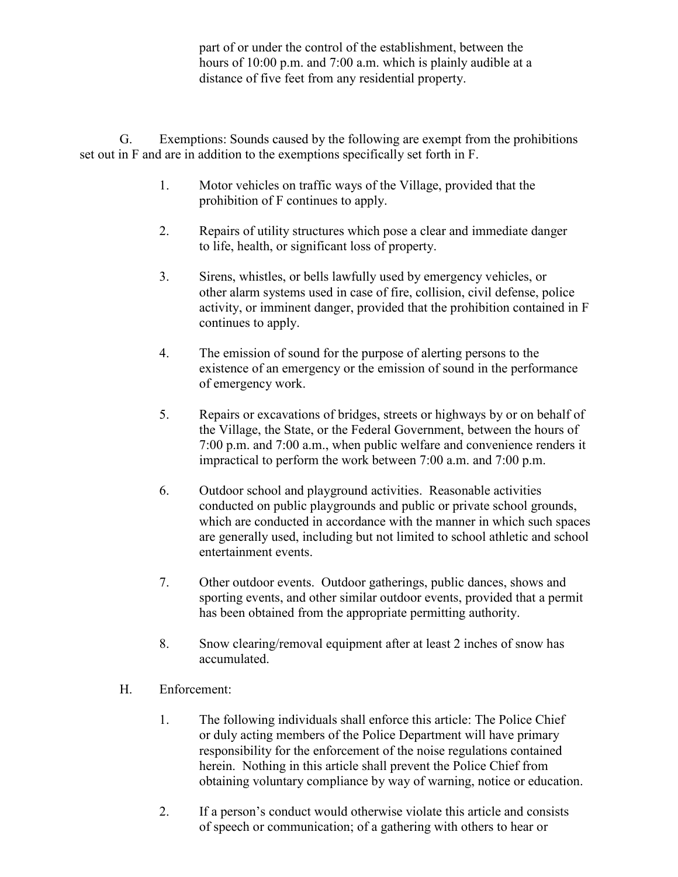part of or under the control of the establishment, between the hours of 10:00 p.m. and 7:00 a.m. which is plainly audible at a distance of five feet from any residential property.

G. Exemptions: Sounds caused by the following are exempt from the prohibitions set out in F and are in addition to the exemptions specifically set forth in F.

- 1. Motor vehicles on traffic ways of the Village, provided that the prohibition of F continues to apply.
- 2. Repairs of utility structures which pose a clear and immediate danger to life, health, or significant loss of property.
- 3. Sirens, whistles, or bells lawfully used by emergency vehicles, or other alarm systems used in case of fire, collision, civil defense, police activity, or imminent danger, provided that the prohibition contained in F continues to apply.
- 4. The emission of sound for the purpose of alerting persons to the existence of an emergency or the emission of sound in the performance of emergency work.
- 5. Repairs or excavations of bridges, streets or highways by or on behalf of the Village, the State, or the Federal Government, between the hours of 7:00 p.m. and 7:00 a.m., when public welfare and convenience renders it impractical to perform the work between 7:00 a.m. and 7:00 p.m.
- 6. Outdoor school and playground activities. Reasonable activities conducted on public playgrounds and public or private school grounds, which are conducted in accordance with the manner in which such spaces are generally used, including but not limited to school athletic and school entertainment events.
- 7. Other outdoor events. Outdoor gatherings, public dances, shows and sporting events, and other similar outdoor events, provided that a permit has been obtained from the appropriate permitting authority.
- 8. Snow clearing/removal equipment after at least 2 inches of snow has accumulated.
- H. Enforcement:
	- 1. The following individuals shall enforce this article: The Police Chief or duly acting members of the Police Department will have primary responsibility for the enforcement of the noise regulations contained herein. Nothing in this article shall prevent the Police Chief from obtaining voluntary compliance by way of warning, notice or education.
	- 2. If a person's conduct would otherwise violate this article and consists of speech or communication; of a gathering with others to hear or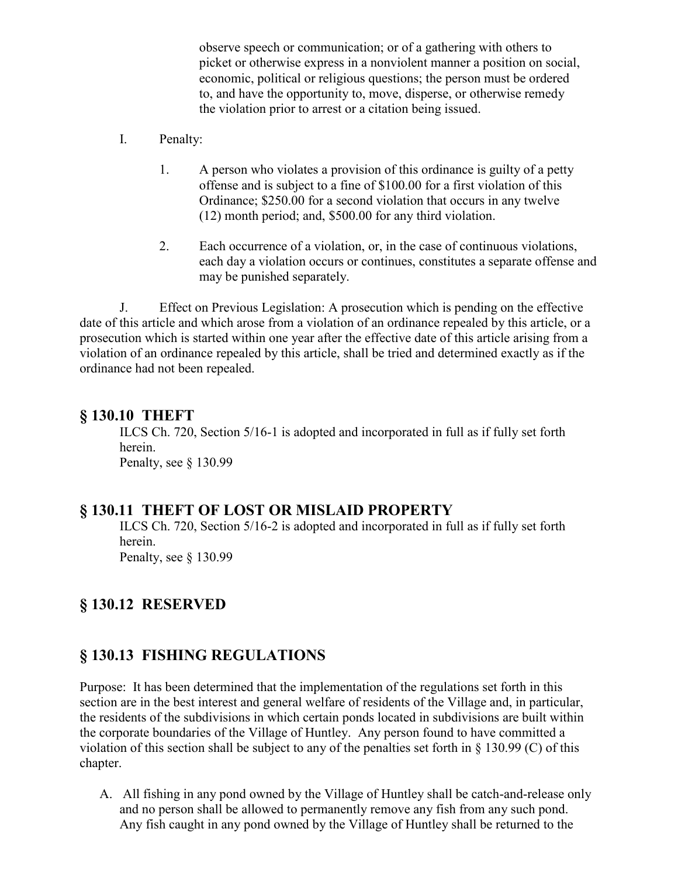observe speech or communication; or of a gathering with others to picket or otherwise express in a nonviolent manner a position on social, economic, political or religious questions; the person must be ordered to, and have the opportunity to, move, disperse, or otherwise remedy the violation prior to arrest or a citation being issued.

- I. Penalty:
	- 1. A person who violates a provision of this ordinance is guilty of a petty offense and is subject to a fine of \$100.00 for a first violation of this Ordinance; \$250.00 for a second violation that occurs in any twelve (12) month period; and, \$500.00 for any third violation.
	- 2. Each occurrence of a violation, or, in the case of continuous violations, each day a violation occurs or continues, constitutes a separate offense and may be punished separately.

J. Effect on Previous Legislation: A prosecution which is pending on the effective date of this article and which arose from a violation of an ordinance repealed by this article, or a prosecution which is started within one year after the effective date of this article arising from a violation of an ordinance repealed by this article, shall be tried and determined exactly as if the ordinance had not been repealed.

#### **§ 130.10 THEFT**

ILCS Ch. 720, Section 5/16-1 is adopted and incorporated in full as if fully set forth herein. Penalty, see § 130.99

#### **§ 130.11 THEFT OF LOST OR MISLAID PROPERTY**

ILCS Ch. 720, Section 5/16-2 is adopted and incorporated in full as if fully set forth herein.

Penalty, see § 130.99

## **§ 130.12 RESERVED**

#### **§ 130.13 FISHING REGULATIONS**

Purpose: It has been determined that the implementation of the regulations set forth in this section are in the best interest and general welfare of residents of the Village and, in particular, the residents of the subdivisions in which certain ponds located in subdivisions are built within the corporate boundaries of the Village of Huntley. Any person found to have committed a violation of this section shall be subject to any of the penalties set forth in § 130.99 (C) of this chapter.

A. All fishing in any pond owned by the Village of Huntley shall be catch-and-release only and no person shall be allowed to permanently remove any fish from any such pond. Any fish caught in any pond owned by the Village of Huntley shall be returned to the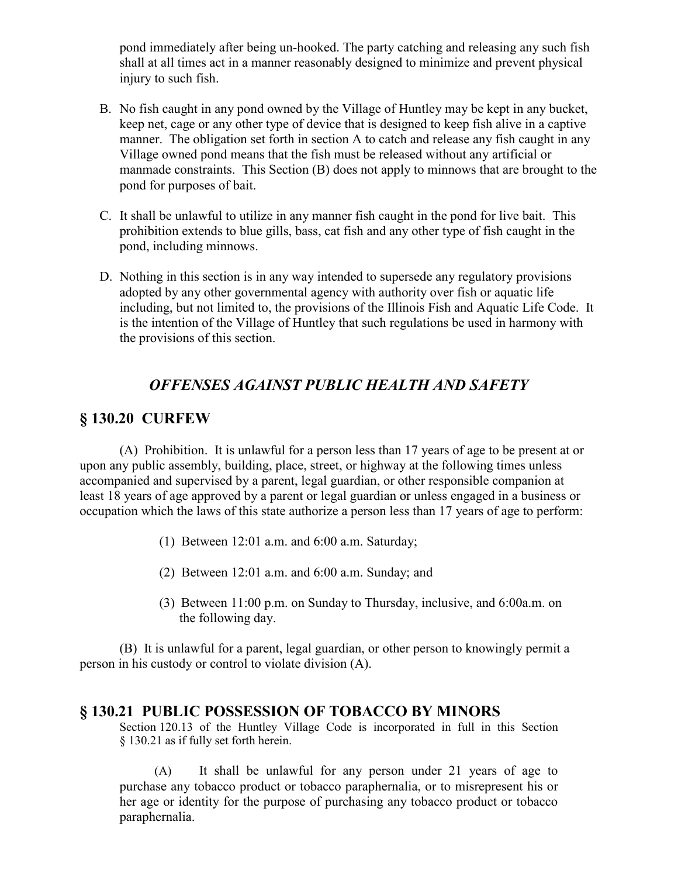pond immediately after being un-hooked. The party catching and releasing any such fish shall at all times act in a manner reasonably designed to minimize and prevent physical injury to such fish.

- B. No fish caught in any pond owned by the Village of Huntley may be kept in any bucket, keep net, cage or any other type of device that is designed to keep fish alive in a captive manner. The obligation set forth in section A to catch and release any fish caught in any Village owned pond means that the fish must be released without any artificial or manmade constraints. This Section (B) does not apply to minnows that are brought to the pond for purposes of bait.
- C. It shall be unlawful to utilize in any manner fish caught in the pond for live bait. This prohibition extends to blue gills, bass, cat fish and any other type of fish caught in the pond, including minnows.
- D. Nothing in this section is in any way intended to supersede any regulatory provisions adopted by any other governmental agency with authority over fish or aquatic life including, but not limited to, the provisions of the Illinois Fish and Aquatic Life Code. It is the intention of the Village of Huntley that such regulations be used in harmony with the provisions of this section.

## *OFFENSES AGAINST PUBLIC HEALTH AND SAFETY*

## **§ 130.20 CURFEW**

(A) Prohibition. It is unlawful for a person less than 17 years of age to be present at or upon any public assembly, building, place, street, or highway at the following times unless accompanied and supervised by a parent, legal guardian, or other responsible companion at least 18 years of age approved by a parent or legal guardian or unless engaged in a business or occupation which the laws of this state authorize a person less than 17 years of age to perform:

- (1) Between 12:01 a.m. and 6:00 a.m. Saturday;
- (2) Between 12:01 a.m. and 6:00 a.m. Sunday; and
- (3) Between 11:00 p.m. on Sunday to Thursday, inclusive, and 6:00a.m. on the following day.

(B) It is unlawful for a parent, legal guardian, or other person to knowingly permit a person in his custody or control to violate division (A).

#### **§ 130.21 PUBLIC POSSESSION OF TOBACCO BY MINORS**

Section 120.13 of the Huntley Village Code is incorporated in full in this Section § 130.21 as if fully set forth herein.

(A) It shall be unlawful for any person under 21 years of age to purchase any tobacco product or tobacco paraphernalia, or to misrepresent his or her age or identity for the purpose of purchasing any tobacco product or tobacco paraphernalia.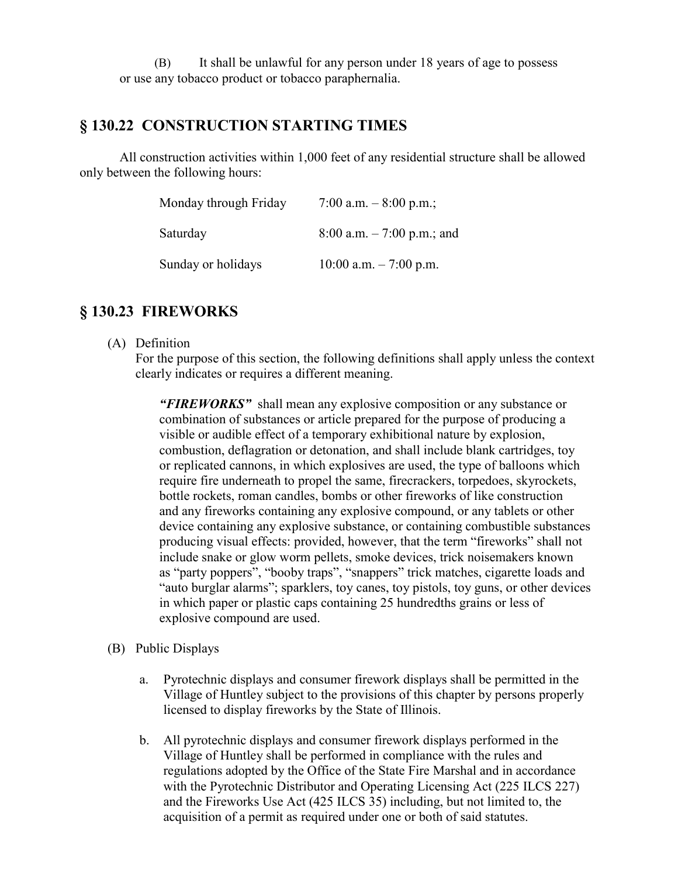(B) It shall be unlawful for any person under 18 years of age to possess or use any tobacco product or tobacco paraphernalia.

## **§ 130.22 CONSTRUCTION STARTING TIMES**

All construction activities within 1,000 feet of any residential structure shall be allowed only between the following hours:

| Monday through Friday | 7:00 a.m. $-8:00$ p.m.;     |
|-----------------------|-----------------------------|
| Saturday              | 8:00 a.m. $-7:00$ p.m.; and |
| Sunday or holidays    | 10:00 a.m. $-7:00$ p.m.     |

## **§ 130.23 FIREWORKS**

(A) Definition

For the purpose of this section, the following definitions shall apply unless the context clearly indicates or requires a different meaning.

*"FIREWORKS"* shall mean any explosive composition or any substance or combination of substances or article prepared for the purpose of producing a visible or audible effect of a temporary exhibitional nature by explosion, combustion, deflagration or detonation, and shall include blank cartridges, toy or replicated cannons, in which explosives are used, the type of balloons which require fire underneath to propel the same, firecrackers, torpedoes, skyrockets, bottle rockets, roman candles, bombs or other fireworks of like construction and any fireworks containing any explosive compound, or any tablets or other device containing any explosive substance, or containing combustible substances producing visual effects: provided, however, that the term "fireworks" shall not include snake or glow worm pellets, smoke devices, trick noisemakers known as "party poppers", "booby traps", "snappers" trick matches, cigarette loads and "auto burglar alarms"; sparklers, toy canes, toy pistols, toy guns, or other devices in which paper or plastic caps containing 25 hundredths grains or less of explosive compound are used.

- (B) Public Displays
	- a. Pyrotechnic displays and consumer firework displays shall be permitted in the Village of Huntley subject to the provisions of this chapter by persons properly licensed to display fireworks by the State of Illinois.
	- b. All pyrotechnic displays and consumer firework displays performed in the Village of Huntley shall be performed in compliance with the rules and regulations adopted by the Office of the State Fire Marshal and in accordance with the Pyrotechnic Distributor and Operating Licensing Act (225 ILCS 227) and the Fireworks Use Act (425 ILCS 35) including, but not limited to, the acquisition of a permit as required under one or both of said statutes.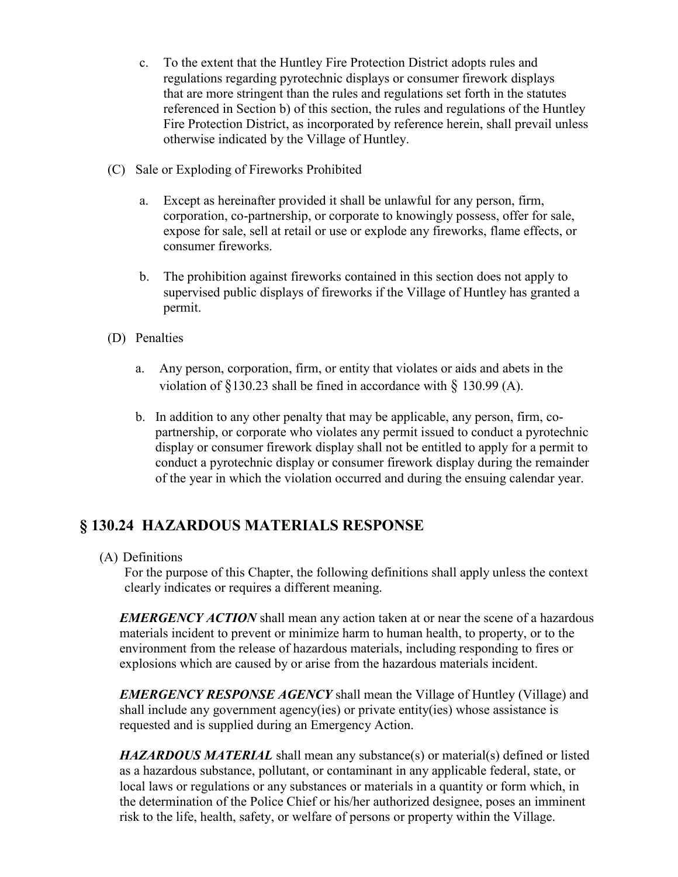- c. To the extent that the Huntley Fire Protection District adopts rules and regulations regarding pyrotechnic displays or consumer firework displays that are more stringent than the rules and regulations set forth in the statutes referenced in Section b) of this section, the rules and regulations of the Huntley Fire Protection District, as incorporated by reference herein, shall prevail unless otherwise indicated by the Village of Huntley.
- (C) Sale or Exploding of Fireworks Prohibited
	- a. Except as hereinafter provided it shall be unlawful for any person, firm, corporation, co-partnership, or corporate to knowingly possess, offer for sale, expose for sale, sell at retail or use or explode any fireworks, flame effects, or consumer fireworks.
	- b. The prohibition against fireworks contained in this section does not apply to supervised public displays of fireworks if the Village of Huntley has granted a permit.
- (D) Penalties
	- a. Any person, corporation, firm, or entity that violates or aids and abets in the violation of  $\S$ 130.23 shall be fined in accordance with  $\S$  130.99 (A).
	- b. In addition to any other penalty that may be applicable, any person, firm, copartnership, or corporate who violates any permit issued to conduct a pyrotechnic display or consumer firework display shall not be entitled to apply for a permit to conduct a pyrotechnic display or consumer firework display during the remainder of the year in which the violation occurred and during the ensuing calendar year.

# **§ 130.24 HAZARDOUS MATERIALS RESPONSE**

(A) Definitions

For the purpose of this Chapter, the following definitions shall apply unless the context clearly indicates or requires a different meaning.

*EMERGENCY ACTION* shall mean any action taken at or near the scene of a hazardous materials incident to prevent or minimize harm to human health, to property, or to the environment from the release of hazardous materials, including responding to fires or explosions which are caused by or arise from the hazardous materials incident.

*EMERGENCY RESPONSE AGENCY* shall mean the Village of Huntley (Village) and shall include any government agency(ies) or private entity(ies) whose assistance is requested and is supplied during an Emergency Action.

*HAZARDOUS MATERIAL* shall mean any substance(s) or material(s) defined or listed as a hazardous substance, pollutant, or contaminant in any applicable federal, state, or local laws or regulations or any substances or materials in a quantity or form which, in the determination of the Police Chief or his/her authorized designee, poses an imminent risk to the life, health, safety, or welfare of persons or property within the Village.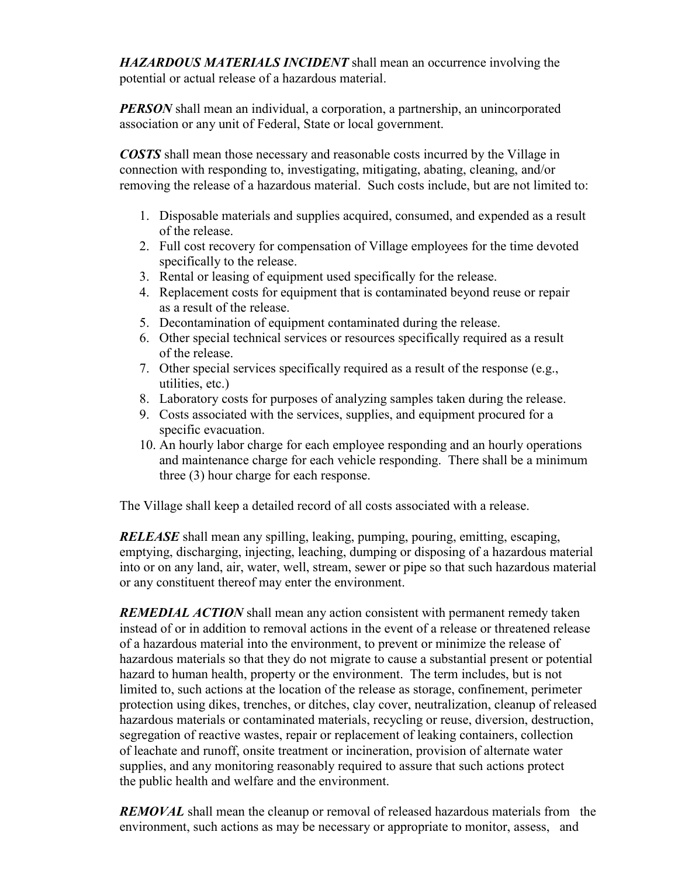*HAZARDOUS MATERIALS INCIDENT* shall mean an occurrence involving the potential or actual release of a hazardous material.

*PERSON* shall mean an individual, a corporation, a partnership, an unincorporated association or any unit of Federal, State or local government.

*COSTS* shall mean those necessary and reasonable costs incurred by the Village in connection with responding to, investigating, mitigating, abating, cleaning, and/or removing the release of a hazardous material. Such costs include, but are not limited to:

- 1. Disposable materials and supplies acquired, consumed, and expended as a result of the release.
- 2. Full cost recovery for compensation of Village employees for the time devoted specifically to the release.
- 3. Rental or leasing of equipment used specifically for the release.
- 4. Replacement costs for equipment that is contaminated beyond reuse or repair as a result of the release.
- 5. Decontamination of equipment contaminated during the release.
- 6. Other special technical services or resources specifically required as a result of the release.
- 7. Other special services specifically required as a result of the response (e.g., utilities, etc.)
- 8. Laboratory costs for purposes of analyzing samples taken during the release.
- 9. Costs associated with the services, supplies, and equipment procured for a specific evacuation.
- 10. An hourly labor charge for each employee responding and an hourly operations and maintenance charge for each vehicle responding. There shall be a minimum three (3) hour charge for each response.

The Village shall keep a detailed record of all costs associated with a release.

*RELEASE* shall mean any spilling, leaking, pumping, pouring, emitting, escaping, emptying, discharging, injecting, leaching, dumping or disposing of a hazardous material into or on any land, air, water, well, stream, sewer or pipe so that such hazardous material or any constituent thereof may enter the environment.

*REMEDIAL ACTION* shall mean any action consistent with permanent remedy taken instead of or in addition to removal actions in the event of a release or threatened release of a hazardous material into the environment, to prevent or minimize the release of hazardous materials so that they do not migrate to cause a substantial present or potential hazard to human health, property or the environment. The term includes, but is not limited to, such actions at the location of the release as storage, confinement, perimeter protection using dikes, trenches, or ditches, clay cover, neutralization, cleanup of released hazardous materials or contaminated materials, recycling or reuse, diversion, destruction, segregation of reactive wastes, repair or replacement of leaking containers, collection of leachate and runoff, onsite treatment or incineration, provision of alternate water supplies, and any monitoring reasonably required to assure that such actions protect the public health and welfare and the environment.

*REMOVAL* shall mean the cleanup or removal of released hazardous materials from the environment, such actions as may be necessary or appropriate to monitor, assess, and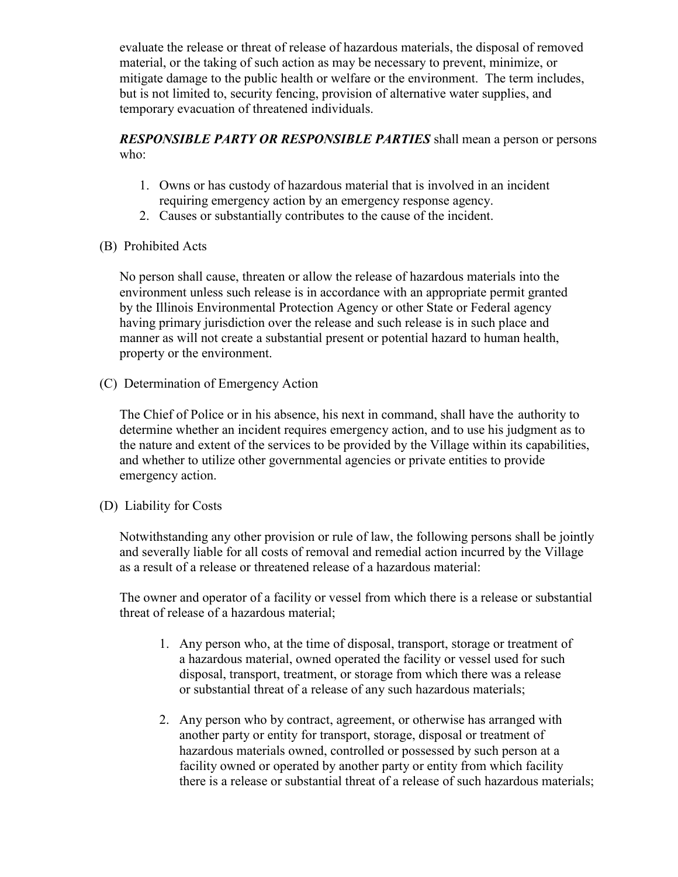evaluate the release or threat of release of hazardous materials, the disposal of removed material, or the taking of such action as may be necessary to prevent, minimize, or mitigate damage to the public health or welfare or the environment. The term includes, but is not limited to, security fencing, provision of alternative water supplies, and temporary evacuation of threatened individuals.

*RESPONSIBLE PARTY OR RESPONSIBLE PARTIES* shall mean a person or persons who:

- 1. Owns or has custody of hazardous material that is involved in an incident requiring emergency action by an emergency response agency.
- 2. Causes or substantially contributes to the cause of the incident.
- (B) Prohibited Acts

No person shall cause, threaten or allow the release of hazardous materials into the environment unless such release is in accordance with an appropriate permit granted by the Illinois Environmental Protection Agency or other State or Federal agency having primary jurisdiction over the release and such release is in such place and manner as will not create a substantial present or potential hazard to human health, property or the environment.

(C) Determination of Emergency Action

The Chief of Police or in his absence, his next in command, shall have the authority to determine whether an incident requires emergency action, and to use his judgment as to the nature and extent of the services to be provided by the Village within its capabilities, and whether to utilize other governmental agencies or private entities to provide emergency action.

(D) Liability for Costs

Notwithstanding any other provision or rule of law, the following persons shall be jointly and severally liable for all costs of removal and remedial action incurred by the Village as a result of a release or threatened release of a hazardous material:

The owner and operator of a facility or vessel from which there is a release or substantial threat of release of a hazardous material;

- 1. Any person who, at the time of disposal, transport, storage or treatment of a hazardous material, owned operated the facility or vessel used for such disposal, transport, treatment, or storage from which there was a release or substantial threat of a release of any such hazardous materials;
- 2. Any person who by contract, agreement, or otherwise has arranged with another party or entity for transport, storage, disposal or treatment of hazardous materials owned, controlled or possessed by such person at a facility owned or operated by another party or entity from which facility there is a release or substantial threat of a release of such hazardous materials;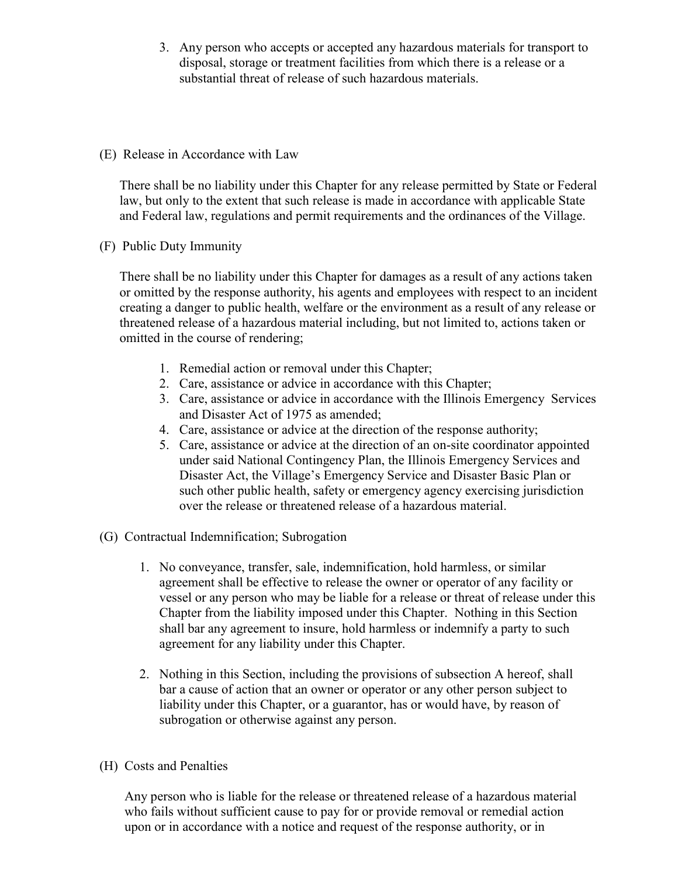- 3. Any person who accepts or accepted any hazardous materials for transport to disposal, storage or treatment facilities from which there is a release or a substantial threat of release of such hazardous materials.
- (E) Release in Accordance with Law

There shall be no liability under this Chapter for any release permitted by State or Federal law, but only to the extent that such release is made in accordance with applicable State and Federal law, regulations and permit requirements and the ordinances of the Village.

(F) Public Duty Immunity

There shall be no liability under this Chapter for damages as a result of any actions taken or omitted by the response authority, his agents and employees with respect to an incident creating a danger to public health, welfare or the environment as a result of any release or threatened release of a hazardous material including, but not limited to, actions taken or omitted in the course of rendering;

- 1. Remedial action or removal under this Chapter;
- 2. Care, assistance or advice in accordance with this Chapter;
- 3. Care, assistance or advice in accordance with the Illinois Emergency Services and Disaster Act of 1975 as amended;
- 4. Care, assistance or advice at the direction of the response authority;
- 5. Care, assistance or advice at the direction of an on-site coordinator appointed under said National Contingency Plan, the Illinois Emergency Services and Disaster Act, the Village's Emergency Service and Disaster Basic Plan or such other public health, safety or emergency agency exercising jurisdiction over the release or threatened release of a hazardous material.
- (G) Contractual Indemnification; Subrogation
	- 1. No conveyance, transfer, sale, indemnification, hold harmless, or similar agreement shall be effective to release the owner or operator of any facility or vessel or any person who may be liable for a release or threat of release under this Chapter from the liability imposed under this Chapter. Nothing in this Section shall bar any agreement to insure, hold harmless or indemnify a party to such agreement for any liability under this Chapter.
	- 2. Nothing in this Section, including the provisions of subsection A hereof, shall bar a cause of action that an owner or operator or any other person subject to liability under this Chapter, or a guarantor, has or would have, by reason of subrogation or otherwise against any person.
- (H) Costs and Penalties

Any person who is liable for the release or threatened release of a hazardous material who fails without sufficient cause to pay for or provide removal or remedial action upon or in accordance with a notice and request of the response authority, or in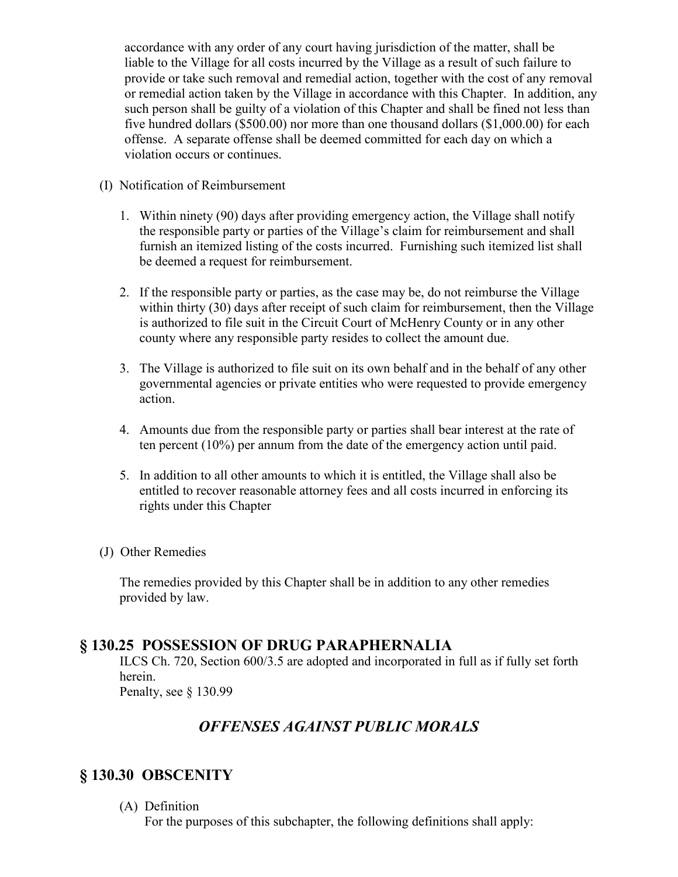accordance with any order of any court having jurisdiction of the matter, shall be liable to the Village for all costs incurred by the Village as a result of such failure to provide or take such removal and remedial action, together with the cost of any removal or remedial action taken by the Village in accordance with this Chapter. In addition, any such person shall be guilty of a violation of this Chapter and shall be fined not less than five hundred dollars (\$500.00) nor more than one thousand dollars (\$1,000.00) for each offense. A separate offense shall be deemed committed for each day on which a violation occurs or continues.

- (I) Notification of Reimbursement
	- 1. Within ninety (90) days after providing emergency action, the Village shall notify the responsible party or parties of the Village's claim for reimbursement and shall furnish an itemized listing of the costs incurred. Furnishing such itemized list shall be deemed a request for reimbursement.
	- 2. If the responsible party or parties, as the case may be, do not reimburse the Village within thirty (30) days after receipt of such claim for reimbursement, then the Village is authorized to file suit in the Circuit Court of McHenry County or in any other county where any responsible party resides to collect the amount due.
	- 3. The Village is authorized to file suit on its own behalf and in the behalf of any other governmental agencies or private entities who were requested to provide emergency action.
	- 4. Amounts due from the responsible party or parties shall bear interest at the rate of ten percent (10%) per annum from the date of the emergency action until paid.
	- 5. In addition to all other amounts to which it is entitled, the Village shall also be entitled to recover reasonable attorney fees and all costs incurred in enforcing its rights under this Chapter
- (J) Other Remedies

The remedies provided by this Chapter shall be in addition to any other remedies provided by law.

## **§ 130.25 POSSESSION OF DRUG PARAPHERNALIA**

ILCS Ch. 720, Section 600/3.5 are adopted and incorporated in full as if fully set forth herein.

Penalty, see § 130.99

# *OFFENSES AGAINST PUBLIC MORALS*

# **§ 130.30 OBSCENITY**

(A) Definition

For the purposes of this subchapter, the following definitions shall apply: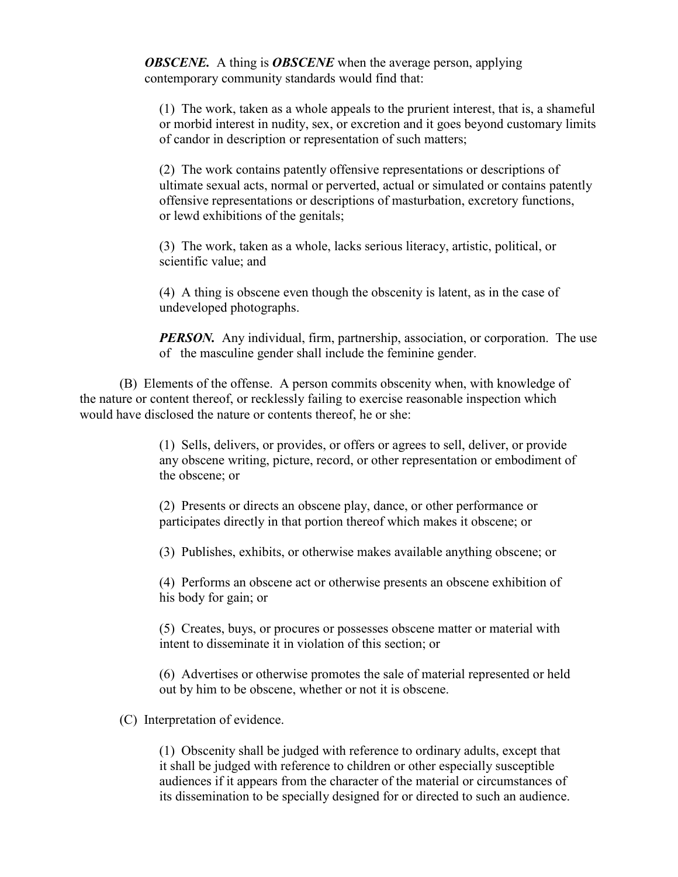*OBSCENE.* A thing is *OBSCENE* when the average person, applying contemporary community standards would find that:

(1) The work, taken as a whole appeals to the prurient interest, that is, a shameful or morbid interest in nudity, sex, or excretion and it goes beyond customary limits of candor in description or representation of such matters;

(2) The work contains patently offensive representations or descriptions of ultimate sexual acts, normal or perverted, actual or simulated or contains patently offensive representations or descriptions of masturbation, excretory functions, or lewd exhibitions of the genitals;

(3) The work, taken as a whole, lacks serious literacy, artistic, political, or scientific value; and

(4) A thing is obscene even though the obscenity is latent, as in the case of undeveloped photographs.

*PERSON.* Any individual, firm, partnership, association, or corporation. The use of the masculine gender shall include the feminine gender.

(B) Elements of the offense. A person commits obscenity when, with knowledge of the nature or content thereof, or recklessly failing to exercise reasonable inspection which would have disclosed the nature or contents thereof, he or she:

> (1) Sells, delivers, or provides, or offers or agrees to sell, deliver, or provide any obscene writing, picture, record, or other representation or embodiment of the obscene; or

(2) Presents or directs an obscene play, dance, or other performance or participates directly in that portion thereof which makes it obscene; or

(3) Publishes, exhibits, or otherwise makes available anything obscene; or

(4) Performs an obscene act or otherwise presents an obscene exhibition of his body for gain; or

(5) Creates, buys, or procures or possesses obscene matter or material with intent to disseminate it in violation of this section; or

(6) Advertises or otherwise promotes the sale of material represented or held out by him to be obscene, whether or not it is obscene.

(C) Interpretation of evidence.

(1) Obscenity shall be judged with reference to ordinary adults, except that it shall be judged with reference to children or other especially susceptible audiences if it appears from the character of the material or circumstances of its dissemination to be specially designed for or directed to such an audience.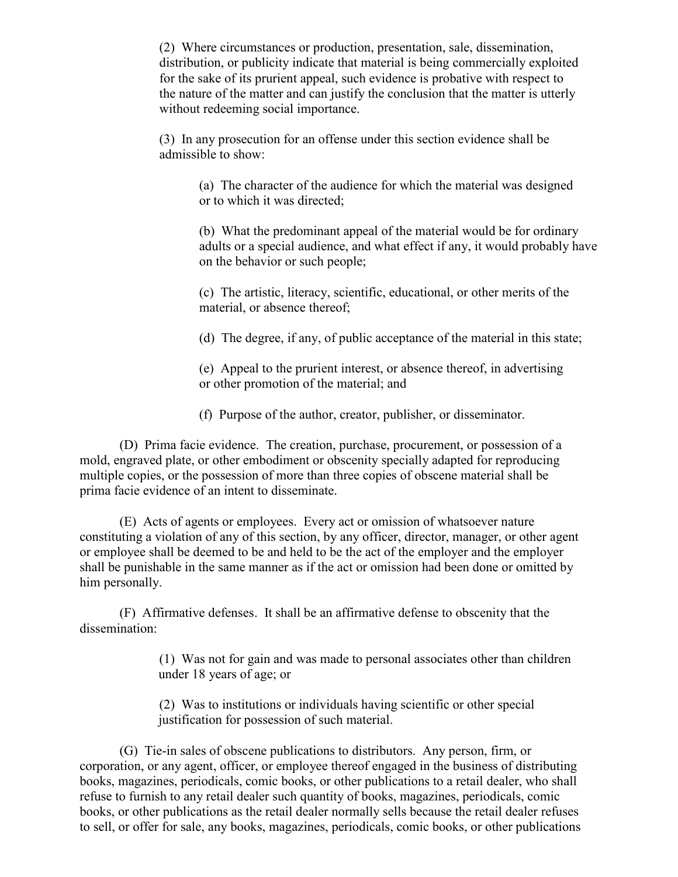(2) Where circumstances or production, presentation, sale, dissemination, distribution, or publicity indicate that material is being commercially exploited for the sake of its prurient appeal, such evidence is probative with respect to the nature of the matter and can justify the conclusion that the matter is utterly without redeeming social importance.

(3) In any prosecution for an offense under this section evidence shall be admissible to show:

> (a) The character of the audience for which the material was designed or to which it was directed;

(b) What the predominant appeal of the material would be for ordinary adults or a special audience, and what effect if any, it would probably have on the behavior or such people;

(c) The artistic, literacy, scientific, educational, or other merits of the material, or absence thereof;

(d) The degree, if any, of public acceptance of the material in this state;

(e) Appeal to the prurient interest, or absence thereof, in advertising or other promotion of the material; and

(f) Purpose of the author, creator, publisher, or disseminator.

(D) Prima facie evidence. The creation, purchase, procurement, or possession of a mold, engraved plate, or other embodiment or obscenity specially adapted for reproducing multiple copies, or the possession of more than three copies of obscene material shall be prima facie evidence of an intent to disseminate.

(E) Acts of agents or employees. Every act or omission of whatsoever nature constituting a violation of any of this section, by any officer, director, manager, or other agent or employee shall be deemed to be and held to be the act of the employer and the employer shall be punishable in the same manner as if the act or omission had been done or omitted by him personally.

(F) Affirmative defenses. It shall be an affirmative defense to obscenity that the dissemination:

> (1) Was not for gain and was made to personal associates other than children under 18 years of age; or

(2) Was to institutions or individuals having scientific or other special justification for possession of such material.

(G) Tie-in sales of obscene publications to distributors. Any person, firm, or corporation, or any agent, officer, or employee thereof engaged in the business of distributing books, magazines, periodicals, comic books, or other publications to a retail dealer, who shall refuse to furnish to any retail dealer such quantity of books, magazines, periodicals, comic books, or other publications as the retail dealer normally sells because the retail dealer refuses to sell, or offer for sale, any books, magazines, periodicals, comic books, or other publications